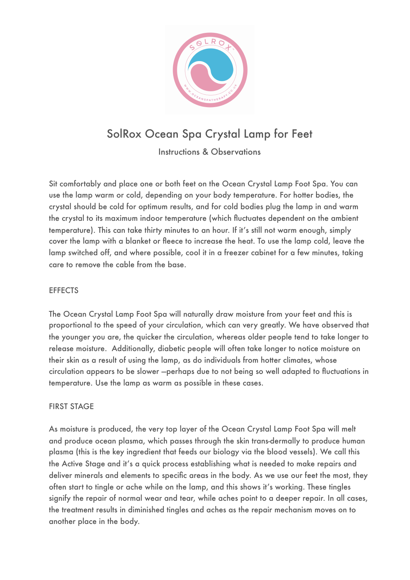

# SolRox Ocean Spa Crystal Lamp for Feet

Instructions & Observations

Sit comfortably and place one or both feet on the Ocean Crystal Lamp Foot Spa. You can use the lamp warm or cold, depending on your body temperature. For hotter bodies, the crystal should be cold for optimum results, and for cold bodies plug the lamp in and warm the crystal to its maximum indoor temperature (which fluctuates dependent on the ambient temperature). This can take thirty minutes to an hour. If it's still not warm enough, simply cover the lamp with a blanket or fleece to increase the heat. To use the lamp cold, leave the lamp switched off, and where possible, cool it in a freezer cabinet for a few minutes, taking care to remove the cable from the base.

## **EFFECTS**

The Ocean Crystal Lamp Foot Spa will naturally draw moisture from your feet and this is proportional to the speed of your circulation, which can very greatly. We have observed that the younger you are, the quicker the circulation, whereas older people tend to take longer to release moisture. Additionally, diabetic people will often take longer to notice moisture on their skin as a result of using the lamp, as do individuals from hotter climates, whose circulation appears to be slower —perhaps due to not being so well adapted to fluctuations in temperature. Use the lamp as warm as possible in these cases.

#### FIRST STAGE

As moisture is produced, the very top layer of the Ocean Crystal Lamp Foot Spa will melt and produce ocean plasma, which passes through the skin trans-dermally to produce human plasma (this is the key ingredient that feeds our biology via the blood vessels). We call this the Active Stage and it's a quick process establishing what is needed to make repairs and deliver minerals and elements to specific areas in the body. As we use our feet the most, they often start to tingle or ache while on the lamp, and this shows it's working. These tingles signify the repair of normal wear and tear, while aches point to a deeper repair. In all cases, the treatment results in diminished tingles and aches as the repair mechanism moves on to another place in the body.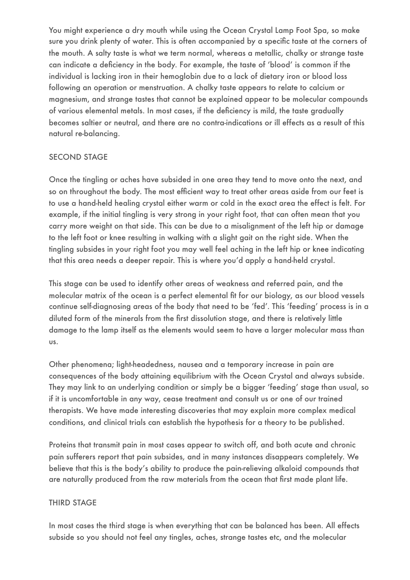You might experience a dry mouth while using the Ocean Crystal Lamp Foot Spa, so make sure you drink plenty of water. This is often accompanied by a specific taste at the corners of the mouth. A salty taste is what we term normal, whereas a metallic, chalky or strange taste can indicate a deficiency in the body. For example, the taste of 'blood' is common if the individual is lacking iron in their hemoglobin due to a lack of dietary iron or blood loss following an operation or menstruation. A chalky taste appears to relate to calcium or magnesium, and strange tastes that cannot be explained appear to be molecular compounds of various elemental metals. In most cases, if the deficiency is mild, the taste gradually becomes saltier or neutral, and there are no contra-indications or ill effects as a result of this natural re-balancing.

### SECOND STAGE

Once the tingling or aches have subsided in one area they tend to move onto the next, and so on throughout the body. The most efficient way to treat other areas aside from our feet is to use a hand-held healing crystal either warm or cold in the exact area the effect is felt. For example, if the initial tingling is very strong in your right foot, that can often mean that you carry more weight on that side. This can be due to a misalignment of the left hip or damage to the left foot or knee resulting in walking with a slight gait on the right side. When the tingling subsides in your right foot you may well feel aching in the left hip or knee indicating that this area needs a deeper repair. This is where you'd apply a hand-held crystal.

This stage can be used to identify other areas of weakness and referred pain, and the molecular matrix of the ocean is a perfect elemental fit for our biology, as our blood vessels continue self-diagnosing areas of the body that need to be 'fed'. This 'feeding' process is in a diluted form of the minerals from the first dissolution stage, and there is relatively little damage to the lamp itself as the elements would seem to have a larger molecular mass than us.

Other phenomena; light-headedness, nausea and a temporary increase in pain are consequences of the body attaining equilibrium with the Ocean Crystal and always subside. They may link to an underlying condition or simply be a bigger 'feeding' stage than usual, so if it is uncomfortable in any way, cease treatment and consult us or one of our trained therapists. We have made interesting discoveries that may explain more complex medical conditions, and clinical trials can establish the hypothesis for a theory to be published.

Proteins that transmit pain in most cases appear to switch off, and both acute and chronic pain sufferers report that pain subsides, and in many instances disappears completely. We believe that this is the body's ability to produce the pain-relieving alkaloid compounds that are naturally produced from the raw materials from the ocean that first made plant life.

## THIRD STAGE

In most cases the third stage is when everything that can be balanced has been. All effects subside so you should not feel any tingles, aches, strange tastes etc, and the molecular